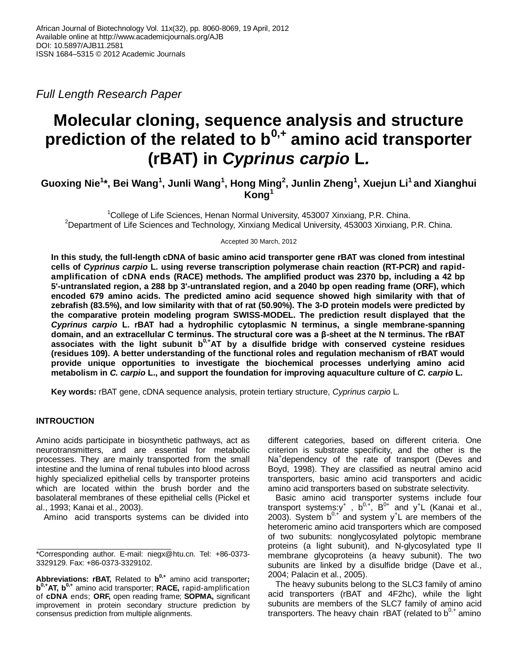*Full Length Research Paper*

# **Molecular cloning, sequence analysis and structure prediction of the related to b0,+ amino acid transporter (rBAT) in** *Cyprinus carpio* **L***.*

**Guoxing Nie<sup>1</sup> \*, Bei Wang<sup>1</sup> , Junli Wang<sup>1</sup> , Hong Ming<sup>2</sup> , Junlin Zheng<sup>1</sup> , Xuejun Li<sup>1</sup>and Xianghui Kong<sup>1</sup>**

<sup>1</sup>College of Life Sciences, Henan Normal University, 453007 Xinxiang, P.R. China. <sup>2</sup>Department of Life Sciences and Technology, Xinxiang Medical University, 453003 Xinxiang, P.R. China.

Accepted 30 March, 2012

**In this study, the full-length cDNA of basic amino acid transporter gene rBAT was cloned from intestinal cells of** *Cyprinus carpio* **L***.* **using reverse transcription polymerase chain reaction (RT-PCR) and rapidamplification of cDNA ends (RACE) methods. The amplified product was 2370 bp, including a 42 bp 5'-untranslated region, a 288 bp 3'-untranslated region, and a 2040 bp open reading frame (ORF), which encoded 679 amino acids. The predicted amino acid sequence showed high similarity with that of zebrafish (83.5%), and low similarity with that of rat (50.90%). The 3-D protein models were predicted by the comparative protein modeling program SWISS-MODEL. The prediction result displayed that the**  *Cyprinus carpio* **L. rBAT had a hydrophilic cytoplasmic N terminus, a single membrane-spanning domain, and an extracellular C terminus. The structural core was a β-sheet at the N terminus. The rBAT associates with the light subunit b 0,+AT by a disulfide bridge with conserved cysteine residues (residues 109). A better understanding of the functional roles and regulation mechanism of rBAT would provide unique opportunities to investigate the biochemical processes underlying amino acid metabolism in** *C. carpio* **L., and support the foundation for improving aquaculture culture of** *C. carpio* **L.**

**Key words:** rBAT gene, cDNA sequence analysis, protein tertiary structure, *Cyprinus carpio* L*.*

## **INTROUCTION**

Amino acids participate in biosynthetic pathways, act as neurotransmitters, and are essential for metabolic processes. They are mainly transported from the small intestine and the lumina of renal tubules into blood across highly specialized epithelial cells by transporter proteins which are located within the brush border and the basolateral membranes of these epithelial cells (Pickel et al., 1993; Kanai et al., 2003).

Amino acid transports systems can be divided into

different categories, based on different criteria. One criterion is substrate specificity, and the other is the Na<sup>+</sup>dependency of the rate of transport (Deves and Boyd, 1998). They are classified as neutral amino acid transporters, basic amino acid transporters and acidic amino acid transporters based on substrate selectivity.

Basic amino acid transporter systems include four transport systems:  $y^+$ ,  $b^{0,+}$ ,  $B^{0+}$  and  $y^+$ L (Kanai et al., 2003). System  $b^{0,+}$  and system y<sup>+</sup>L are members of the heteromeric amino acid transporters which are composed of two subunits: nonglycosylated polytopic membrane proteins (a light subunit), and N-glycosylated type II membrane glycoproteins (a heavy subunit). The two subunits are linked by a disulfide bridge (Dave et al., 2004; Palacin et al., 2005).

The heavy subunits belong to the SLC3 family of amino acid transporters (rBAT and 4F2hc), while the light subunits are members of the SLC7 family of amino acid transporters. The heavy chain rBAT (related to  $b^{0,+}$  amino

<sup>\*</sup>Corresponding author. E-mail: [niegx@htu.cn.](mailto:niegx@htu.cn) Tel: +86-0373- 3329129. Fax: +86-0373-3329102.

**Abbreviations: rBAT,** Related to **b 0,+** amino acid transporter**; b 0,+AT, b0,+** amino acid transporter; **RACE,** rapid-amplification of **cDNA** ends; **ORF,** open reading frame; **SOPMA,** significant improvement in protein secondary structure prediction by consensus prediction from multiple alignments.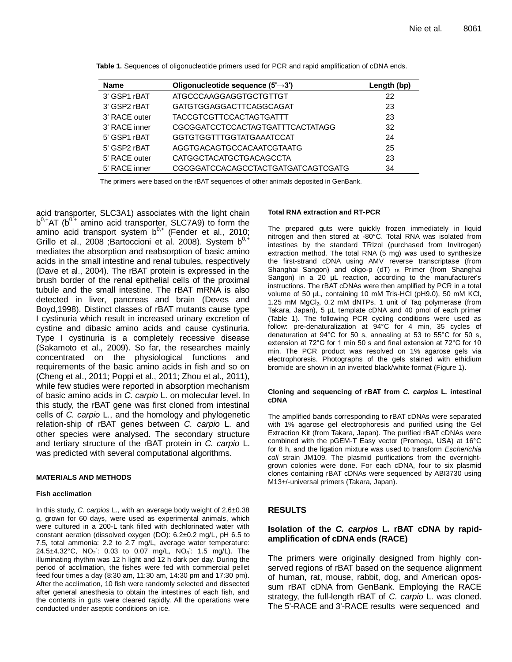| <b>Name</b>   | Oligonucleotide sequence $(5' \rightarrow 3')$ | Length (bp) |
|---------------|------------------------------------------------|-------------|
| 3' GSP1 rBAT  | ATGCCCAAGGAGGTGCTGTTGT                         | 22          |
| 3' GSP2 rBAT  | GATGTGGAGGACTTCAGGCAGAT                        | 23          |
| 3' RACE outer | <b>TACCGTCGTTCCACTAGTGATTT</b>                 | 23          |
| 3' RACE inner | CGCGGATCCTCCACTAGTGATTTCACTATAGG               | 32          |
| 5' GSP1 rBAT  | GGTGTGGTTTGGTATGAAATCCAT                       | 24          |
| 5' GSP2 rBAT  | AGGTGACAGTGCCACAATCGTAATG                      | 25          |
| 5' RACE outer | <b>CATGGCTACATGCTGACAGCCTA</b>                 | 23          |
| 5' RACE inner | CGCGGATCCACAGCCTACTGATGATCAGTCGATG             | 34          |

**Table 1.** Sequences of oligonucleotide primers used for PCR and rapid amplification of cDNA ends.

The primers were based on the rBAT sequences of other animals deposited in GenBank.

acid transporter, SLC3A1) associates with the light chain b<sup>0,+</sup>AT (b<sup>0,+</sup> amino acid transporter, SLC7A9) to form the amino acid transport system  $b^{0,+}$  (Fender et al., 2010; Grillo et al., 2008 ;Bartoccioni et al. 2008). System  $b^{0,+}$ mediates the absorption and reabsorption of basic amino acids in the small intestine and renal tubules, respectively (Dave et al., 2004). The rBAT protein is expressed in the brush border of the renal epithelial cells of the proximal tubule and the small intestine. The rBAT mRNA is also detected in liver, pancreas and brain (Deves and Boyd,1998). Distinct classes of rBAT mutants cause type I cystinuria which result in increased urinary excretion of cystine and dibasic amino acids and cause cystinuria. Type I cystinuria is a completely recessive disease (Sakamoto et al., 2009). So far, the researches mainly concentrated on the physiological functions and requirements of the basic amino acids in fish and so on (Cheng et al., 2011; Poppi et al., 2011; Zhou et al., 2011), while few studies were reported in absorption mechanism of basic amino acids in *C. carpio* L. on molecular level. In this study, the rBAT gene was first cloned from intestinal cells of *C. carpio* L., and the homology and phylogenetic relation-ship of rBAT genes between *C. carpio* L. and other species were analysed. The secondary structure and tertiary structure of the rBAT protein in *C. carpio* L. was predicted with several computational algorithms.

#### **MATERIALS AND METHODS**

#### **Fish acclimation**

In this study, *C. carpios* L., with an average body weight of 2.6±0.38 g, grown for 60 days, were used as experimental animals, which were cultured in a 200-L tank filled with dechlorinated water with constant aeration (dissolved oxygen (DO): 6.2±0.2 mg/L, pH 6.5 to 7.5, total ammonia: 2.2 to 2.7 mg/L, average water temperature: 24.5±4.32°C, NO<sub>2</sub>: 0.03 to 0.07 mg/L, NO<sub>3</sub>: 1.5 mg/L). The illuminating rhythm was 12 h light and 12 h dark per day. During the period of acclimation, the fishes were fed with commercial pellet feed four times a day (8:30 am, 11:30 am, 14:30 pm and 17:30 pm). After the acclimation, 10 fish were randomly selected and dissected after general anesthesia to obtain the intestines of each fish, and the contents in guts were cleared rapidly. All the operations were conducted under aseptic conditions on ice.

#### **Total RNA extraction and RT-PCR**

The prepared guts were quickly frozen immediately in liquid nitrogen and then stored at -80°C. Total RNA was isolated from intestines by the standard TRIzol (purchased from Invitrogen) extraction method. The total RNA (5 mg) was used to synthesize the first-strand cDNA using AMV reverse transcriptase (from Shanghai Sangon) and oligo-p (dT) 18 Primer (from Shanghai Sangon) in a 20 µL reaction, according to the manufacturer's instructions. The rBAT cDNAs were then amplified by PCR in a total volume of 50 µL, containing 10 mM Tris-HCl (pH9.0), 50 mM KCl, 1.25 mM MgCl<sub>2</sub>, 0.2 mM dNTPs, 1 unit of Taq polymerase (from Takara, Japan), 5 µL template cDNA and 40 pmol of each primer (Table 1). The following PCR cycling conditions were used as follow: pre-denaturalization at 94°C for 4 min, 35 cycles of denaturation at 94°C for 50 s, annealing at 53 to 55°C for 50 s, extension at 72°C for 1 min 50 s and final extension at 72°C for 10 min. The PCR product was resolved on 1% agarose gels via electrophoresis. Photographs of the gels stained with ethidium bromide are shown in an inverted black/white format (Figure 1).

#### **Cloning and sequencing of rBAT from** *C. carpios* **L***.* **intestinal cDNA**

The amplified bands corresponding to rBAT cDNAs were separated with 1% agarose gel electrophoresis and purified using the Gel Extraction Kit (from Takara, Japan). The purified rBAT cDNAs were combined with the pGEM-T Easy vector (Promega, USA) at 16°C for 8 h, and the ligation mixture was used to transform *Escherichia coli* strain JM109. The plasmid purifications from the overnightgrown colonies were done. For each cDNA, four to six plasmid clones containing rBAT cDNAs were sequenced by ABI3730 using M13+/-universal primers (Takara, Japan).

## **RESULTS**

## **Isolation of the** *C. carpios* **L. rBAT cDNA by rapidamplification of cDNA ends (RACE)**

The primers were originally designed from highly conserved regions of rBAT based on the sequence alignment of human, rat, mouse, rabbit, dog, and American opossum rBAT cDNA from GenBank. Employing the RACE strategy, the full-length rBAT of *C. carpio* L. was cloned. The 5'-RACE and 3'-RACE results were sequenced and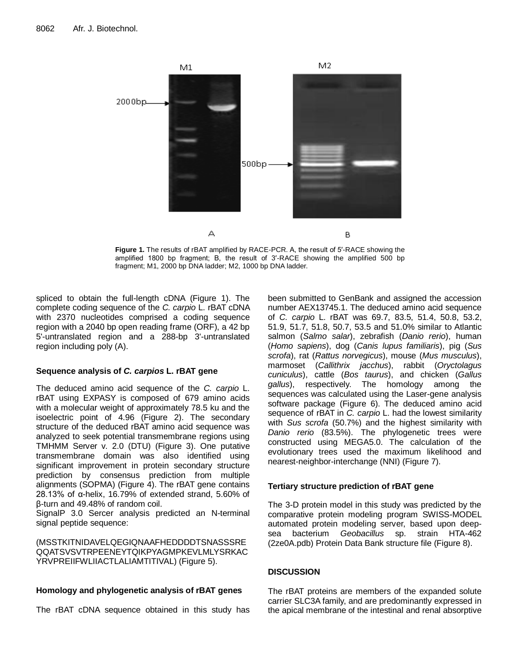

**Figure 1.** The results of rBAT amplified by RACE-PCR. A, the result of 5′-RACE showing the amplified 1800 bp fragment; B, the result of 3′-RACE showing the amplified 500 bp fragment; M1, 2000 bp DNA ladder; M2, 1000 bp DNA ladder.

spliced to obtain the full-length cDNA (Figure 1). The complete coding sequence of the *C. carpio* L. rBAT cDNA with 2370 nucleotides comprised a coding sequence region with a 2040 bp open reading frame (ORF), a 42 bp 5'-untranslated region and a 288-bp 3'-untranslated region including poly (A).

## **Sequence analysis of** *C. carpios* **L. rBAT gene**

The deduced amino acid sequence of the *C. carpio* L. rBAT using EXPASY is composed of 679 amino acids with a molecular weight of approximately 78.5 ku and the isoelectric point of 4.96 (Figure 2). The secondary structure of the deduced rBAT amino acid sequence was analyzed to seek potential transmembrane regions using TMHMM Server v. 2.0 (DTU) (Figure 3). One putative transmembrane domain was also identified using significant improvement in protein secondary structure prediction by consensus prediction from multiple alignments (SOPMA) (Figure 4). The rBAT gene contains 28.13% of α-helix, 16.79% of extended strand, 5.60% of β-turn and 49.48% of random coil.

SignalP 3.0 Sercer analysis predicted an N-terminal signal peptide sequence:

(MSSTKITNIDAVELQEGIQNAAFHEDDDDTSNASSSRE QQATSVSVTRPEENEYTQIKPYAGMPKEVLMLYSRKAC YRVPREIIFWLIIACTLALIAMTITIVAL) (Figure 5).

## **Homology and phylogenetic analysis of rBAT genes**

The rBAT cDNA sequence obtained in this study has

been submitted to GenBank and assigned the accession number AEX13745.1. The deduced amino acid sequence of *C. carpio* L. rBAT was 69.7, 83.5, 51.4, 50.8, 53.2, 51.9, 51.7, 51.8, 50.7, 53.5 and 51.0% similar to Atlantic salmon (*Salmo salar*), zebrafish (*Danio rerio*), human (*Homo sapiens*), dog (*Canis lupus familiaris*), pig (*Sus scrofa*), rat (*Rattus norvegicus*), mouse (*Mus musculus*), marmoset (*Callithrix jacchus*), rabbit (*Oryctolagus cuniculus*), cattle (*Bos taurus*), and chicken (*Gallus gallus*), respectively. The homology among the sequences was calculated using the Laser-gene analysis software package (Figure 6). The deduced amino acid sequence of rBAT in *C. carpio* L. had the lowest similarity with *Sus scrofa* (50.7%) and the highest similarity with *Danio rerio* (83.5%). The phylogenetic trees were constructed using MEGA5.0. The calculation of the evolutionary trees used the maximum likelihood and nearest-neighbor-interchange (NNI) (Figure 7).

# **Tertiary structure prediction of rBAT gene**

The 3-D protein model in this study was predicted by the comparative protein modeling program SWISS-MODEL automated protein modeling server, based upon deepsea bacterium *Geobacillus* sp. strain HTA-462 (2ze0A.pdb) Protein Data Bank structure file (Figure 8).

## **DISCUSSION**

The rBAT proteins are members of the expanded solute carrier SLC3A family, and are predominantly expressed in the apical membrane of the intestinal and renal absorptive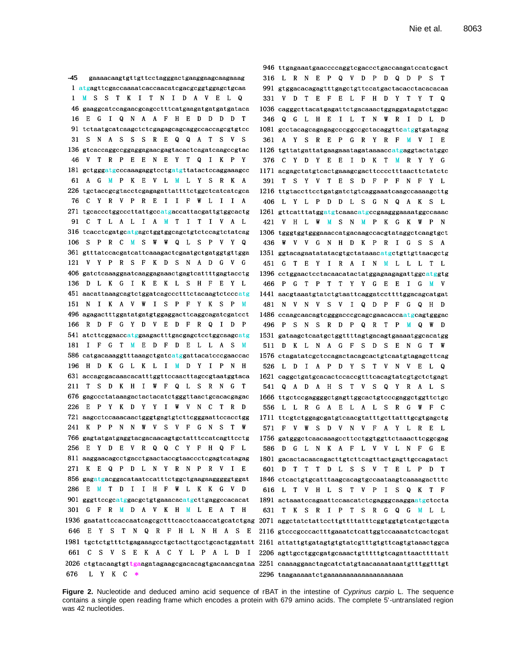-45 gaaaacaagtgttgttcctagggactgaaggaagcaagaaag 1 1 atgagttcgaccaaaatcaccaacatcgacgcggtggagctgcaa 1 M S S T K I T N I D A V E L Q 46 gaaggcatccagaacgcagcctttcatgaagatgatgatgataca 16 E G I Q N A A F H E D D D D T 91 tctaatgcatcaagctctcgagagcagcaggccaccagcgtgtcc 31 S N A S S S R E Q Q A T S V S 136 gtcaccaggccggaggagaacgagtacactcagatcaagccgtac 46 V T R P E E N E Y T Q I K P Y 181 gctgggatgcccaaagaggtcctgatgttatactccaggaaagcc 61 A G M P K E V L M L Y S R K A 226 tgctaccgcgtacctcgagagattattttctggctcatcatcgca 76 C Y R V P R E I I F W L I I A 271 tgcaccctggcccttattgccatgaccattacgattgtggcactg 91 C T L A L I A M T I T I V A L 316 tcacctcgatgcatgagctggtggcagctgtctccagtctatcag 106 S P R C M S W W Q L S P V Y Q 361 gtttatccacgatcattcaaagactcgaatgctgatggtgttgga 121 V Y P R S F K D S N A D G V G 406 gatctcaaaggaatcaaggagaaactgagtcattttgagtacctg 136 D L K G I K E K L S H F E Y L 451 aacattaaagcagtctggatcagccctttctacaagtctcccatg 151 N I K A V W I S P F Y K S P M 496 agagactttggatatgatgtggaggacttcaggcagatcgatcct 166 R D F G Y D V E D F R Q I D P 541 atcttcggaaccatggaagactttgacgagctcctggcaagcatg 181 I F G T M E D F D E L L A S M 586 catgacaaaggtttaaagctgatcatggattacatcccgaaccac 196 H D K G L K L I M D Y I P N H 631 accagcgacaaacacatttggttccaacttagccgtaatggtaca 211 T S D K H I W F Q L S R N G T 676 gagccctataaagactactacatctgggttaactgcacacgagac 226 E P Y K D Y Y I W V N C T R D 721 aagcctccaaacaactgggtgagtgtcttcgggaattccacctgg 241 K P P N N W V S V F G N S T W 766 gagtatgatgaggtacgacaacagtgctatttccatcagttcctg 256 E Y D E V R Q Q C Y F H Q F L 811 aaggaacagcctgacctgaactaccgtaaccctcgagtcatagag 271 K E Q P D L N Y R N P R V I E 856 gagatgacggacataatccatttctggctgaagaagggggtggat 286 E M T D I I H F W L K K G V D 901 gggttccgcatggacgctgtgaaacacatgcttgaggccacacat 301 G F R M D A V K H M L E A T H 676 L Y K C \*

1 946 ttgagaaatgaaccccaggtcgaccctgaccaagatccatcgact 316 L R N E P Q V D P D Q D P S T 991 gtggacacagagtttgagctgttccatgactacacctacacacaa 331 V D T E F E L F H D Y T Y T Q 1036 cagggcttacatgagattctgacaaactggaggatagatctggac 346 Q G L H E I L T N W R I D L D 1081 gcctacagcagagagcccggccgctacaggttcatggtgatagag 361 A Y S R E P G R Y R F M V I E 1126 tgttatgattatgaagaaatagataaaaccatgaggtactatggc 376 C Y D Y E E I D K T M R Y Y G 1171 acgagctatgtcactgaaagcgacttcccctttaacttctatctc 391 T S Y V T E S D F P F N F Y L 1216 ttgtaccttcctgatgatctgtcaggaaatcaagccaaaagcttg 406 L Y L P D D L S G N Q A K S L 1261 gttcatttatggatgtcaaacatgccgaagggaaaatggccaaac 421 V H L W M S N M P K G K W P N 1306 tgggtggtgggaaaccatgacaagccacgtataggctcaagtgct 436 W V V G N H D K P R I G S S A 1351 ggtacagaatatatacgtgctataaacatgctgttgttaacgctg 451 G T E Y I R A I N M L L L T L 1396 cctggaactcctacaacatactatggagaagagattggcatggtg 466 P G T P T T Y Y G E E I G M V 1441 aacgtaaatgtatctgtaattcaggatccttttggacagcatgat 481 N V N V S V I Q D P F G Q H D 1486 ccaagcaacagtcgggacccgcagcgaacaccaatgcagtgggac 496 P S N S R D P Q R T P M Q W D 1531 gataagctcaatgctggttttagtgacagtgaaaatggcacatgg 511 D K L N A G F S D S E N G T W 1576 ctagatatcgctccagactacagcactgtcaatgtagagcttcag 526 L D I A P D Y S T V N V E L Q 1621 caggctgatgcacactccaccgtttcacagtatcgtgctctgagt 541 Q A D A H S T V S Q Y R A L S 1666 ttgctccgaggggctgagttggcactgtcccgaggctggttctgc 556 L L R G A E L A L S R G W F C 1711 ttcgtctggagcgatgtcaacgtatttgcttatttgcgtgagctg 571 F V W S D V N V F A Y L R E L 1756 gatgggctcaacaaagccttcctggtggttctaaacttcggcgag 586 D G L N K A F L V V L N F G E  $1801$  gacactacaacagacttgtcttcagttactgagttgccagatact 601 D T T T D L S S V T E L P D T  $t = 1846$   $ctcactgtgcatttaagcacagtgccaataagtcaaaagacuttc$ 616 L T V H L S T V P I S Q K T F t 1891 actaaatccagaattccaacatctcgagggcaaggaa<mark>t</mark>gctccta 631 T K S R I P T S R G Q G M L L 1 1936 gaatattccaccaatcagcgctttcacctcaaccatgcatctgag 2071 aggctatctattccttgttttatttcggtggtgtcatgctggcta 646 E Y S T N Q R F H L N H A S E 2116 gtcccgcccactttgaaatctcattggtccaaaatctcactcgat 1981 tgctctgtttctgagaaagcctgctacttgcctgcactggatatt 2161 attattgtgatagtgtgtatcgtttgtgttcagtgtaaactggca 661 C S V S E K A C Y L P A L D I 2206 agttgcctggcgatgcaaactgtttttgtcagattaacttttatt 2026 ctgtacaagtgttgaagatagaagcgacacagtgacaaacgataa 2251 caaaaggaactagcatctatgtaacaaaataaatgtttggtttgt 2296 taagaaaaatctgaaaaaaaaaaaaaaaaaaaa

**Figure 2.** Nucleotide and deduced amino acid sequence of rBAT in the intestine of *Cyprinus carpio* L. The sequence contains a single open reading frame which encodes a protein with 679 amino acids. The complete 5'-untranslated region 22 number 2 angles op 21 number getter tenned and construct to produce the construction of the construction of the construction of the construction of the construction of the construction of the construction of the constru **1gure 2.** Nucleonae and deduced amino acid sequence  $\alpha$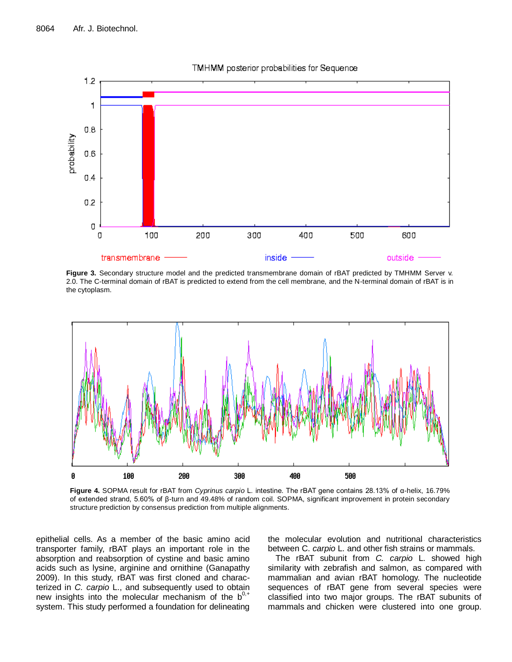

**Figure 3.** Secondary structure model and the predicted transmembrane domain of rBAT predicted by TMHMM Server v. 2.0. The C-terminal domain of rBAT is predicted to extend from the cell membrane, and the N-terminal domain of rBAT is in the cytoplasm.



**Figure 4.** SOPMA result for rBAT from *Cyprinus carpio* L. intestine. The rBAT gene contains 28.13% of α-helix, 16.79% of extended strand, 5.60% of β-turn and 49.48% of random coil. SOPMA, significant improvement in protein secondary structure prediction by consensus prediction from multiple alignments.

epithelial cells. As a member of the basic amino acid transporter family, rBAT plays an important role in the absorption and reabsorption of cystine and basic amino acids such as lysine, arginine and ornithine (Ganapathy 2009). In this study, rBAT was first cloned and characterized in *C. carpio* L., and subsequently used to obtain new insights into the molecular mechanism of the  $b^{0,+}$ system. This study performed a foundation for delineating the molecular evolution and nutritional characteristics between C. *carpio* L. and other fish strains or mammals.

The rBAT subunit from *C. carpio* L. showed high similarity with zebrafish and salmon, as compared with mammalian and avian rBAT homology. The nucleotide sequences of rBAT gene from several species were classified into two major groups. The rBAT subunits of mammals and chicken were clustered into one group.

TMHMM posterior probabilities for Sequence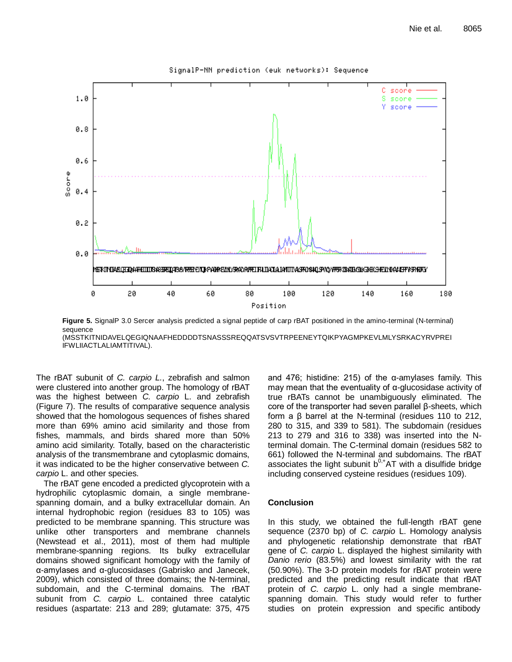

**Figure 5.** SignalP 3.0 Sercer analysis predicted a signal peptide of carp rBAT positioned in the amino-terminal (N-terminal) sequence

(MSSTKITNIDAVELQEGIQNAAFHEDDDDTSNASSSREQQATSVSVTRPEENEYTQIKPYAGMPKEVLMLYSRKACYRVPREI IFWLIIACTLALIAMTITIVAL).

The rBAT subunit of *C. carpio L.*, zebrafish and salmon were clustered into another group. The homology of rBAT was the highest between *C. carpio* L. and zebrafish (Figure 7). The results of comparative sequence analysis showed that the homologous sequences of fishes shared more than 69% amino acid similarity and those from fishes, mammals, and birds shared more than 50% amino acid similarity. Totally, based on the characteristic analysis of the transmembrane and cytoplasmic domains, it was indicated to be the higher conservative between *C. carpio* L. and other species.

The rBAT gene encoded a predicted glycoprotein with a hydrophilic cytoplasmic domain, a single membranespanning domain, and a bulky extracellular domain. An internal hydrophobic region (residues 83 to 105) was predicted to be membrane spanning. This structure was unlike other transporters and membrane channels (Newstead et al., 2011), most of them had multiple membrane-spanning regions. Its bulky extracellular domains showed significant homology with the family of α-amylases and α-glucosidases (Gabrisko and Janecek, 2009), which consisted of three domains; the N-terminal, subdomain, and the C-terminal domains. The rBAT subunit from *C. carpio* L. contained three catalytic residues (aspartate: 213 and 289; glutamate: 375, 475 and 476; histidine: 215) of the α-amylases family. This may mean that the eventuality of α-glucosidase activity of true rBATs cannot be unambiguously eliminated. The core of the transporter had seven parallel β-sheets, which form a β barrel at the N-terminal (residues 110 to 212, 280 to 315, and 339 to 581). The subdomain (residues 213 to 279 and 316 to 338) was inserted into the Nterminal domain. The C-terminal domain (residues 582 to 661) followed the N-terminal and subdomains. The rBAT associates the light subunit  $b^{0,+}$ AT with a disulfide bridge including conserved cysteine residues (residues 109).

#### **Conclusion**

In this study, we obtained the full-length rBAT gene sequence (2370 bp) of *C. carpio* L. Homology analysis and phylogenetic relationship demonstrate that rBAT gene of *C. carpio* L. displayed the highest similarity with *Danio rerio* (83.5%) and lowest similarity with the rat (50.90%). The 3-D protein models for rBAT protein were predicted and the predicting result indicate that rBAT protein of *C. carpio* L. only had a single membranespanning domain. This study would refer to further studies on protein expression and specific antibody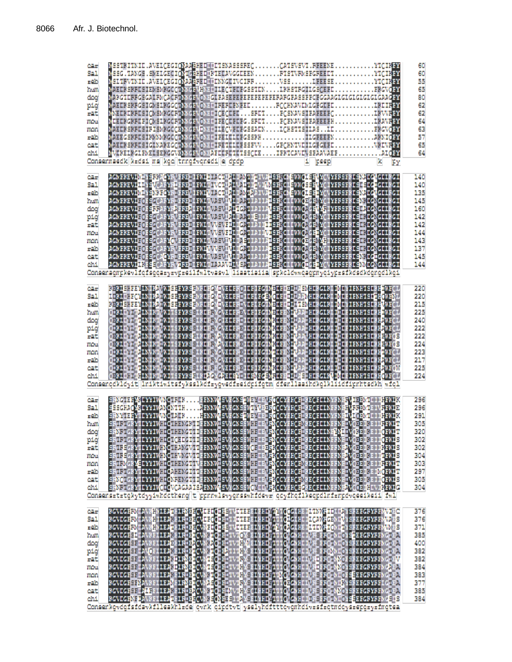| <b>M</b> SSTEITNII.AVEICEGIONAMHEINNITSAASSSRECCATSVSVI.REEENEYICIM <u>PY</u><br>CB-<br>NSSG.TANGS.SNEIGECIONTGEHEIDETELAVGGIEENFTSTVFNSFGFEEITYTCIMEY<br>521<br><b>M</b> SITEVINIE AVEICEGIONAPEREDHEINNGEIVCIRRVSSIPERSEYTCINEY<br>zeb<br>MAEERSKRESIENSNEGGONNGFVRNEUIEGIEDEGSSIENIKHSIRGIIGSGEFEEKGVGEY<br>hum<br>MARGILBEGEGALEMCACEWNGEVONEGLEASEFFFFFFFFFFFFFFARGFASSFFCFGGAAGIGIGIGIGIGIGAAGEW<br>dog<br>WAELESERGSIGNSIEGGOWNGEVONELIRERLENEELFCCHNAVLNIGEGLELIECIREY<br>piğ<br>WNEIKEKFISICMSMKGGFUNNGFVONFFICECIFISFIIFCSNAVSIFAFEFFCIKVVFFY<br>zat<br>MIEIKGKRIFICMSIKGGRONMGRVONELIFECIFIEG.SRITFCFNAVSIFAFEEFHIKAVREY<br>mou<br>MAEIKSKRISIRISMKGCCBNGFVDNELIECVELFGSSAINICHSTISILASIIFKGVCFY<br>mon<br>MAEEGSKFLSIKWNMKGCOWNAFVONELIEELLIEFGSSKRIIGEEEENAKNICFY<br>طفع<br>MAEIRSKRISIGINAREGONNGRYGNELIRETIIDFSSFVVGFCHNTVDIIGFGEFIVKCVFFY<br><b>cat</b><br>MVIKEIKGIEMELEEKGGVENNGEVONEAELIEITITESCIEIERTCAVIVSEAAVAEFAICEY<br>chi<br>Consemusedk krdsi wa kgo thngfvonedi e dpdp $\overline{1}$ peep $\overline{1}$ k $\overline{y}$                       | 60<br>60<br>医图<br>63<br>80<br>62<br>62<br>64<br>63<br>37<br>63<br>64             |
|-----------------------------------------------------------------------------------------------------------------------------------------------------------------------------------------------------------------------------------------------------------------------------------------------------------------------------------------------------------------------------------------------------------------------------------------------------------------------------------------------------------------------------------------------------------------------------------------------------------------------------------------------------------------------------------------------------------------------------------------------------------------------------------------------------------------------------------------------------------------------------------------------------------------------------------------------------------------------------------------------------------------------------------------------------------------------------|----------------------------------------------------------------------------------|
| ACNEREVINING FIRGONDUERE I ENI IMAGINARIO INVIDITAVI ISEEGI GNNO I SEVYCVYERSEKIGNAGO VOLI RGI<br>ACNEREVII ING VOARVEI EREDI ENI DIVCTUAL VAI DUTVUVASEEGI GNNO SSEVYCI YERSEKIGI SIG JOHN A<br>ea.<br><b>Sa1</b><br>RONEREVINTYSWEG EREP IEN TWASWITH THE TIAL SESCIENCE CRAFTER TE FOR CLINCE TO THE TREAT PROPERTY OF THE CALLEGI<br>POWEREVINTYSWEG EREP IEN TWASWITH THE TIAL IN SESCIENCE CRAFTER STATES IN THE STATE IS TO A CLINCE TO A CLINCE<br>zeb<br>hum<br>dog<br>piğ<br>zat<br>mou<br>mon<br>طفع<br><b>cat</b><br>chi.<br>Consenagmpkevlioisedaryrvpreiliwltvasvl liaatiaiia spkclówwoaepnyciyprsikdsdkdenodlkoi                                                                                                                                                                                                                                                                                                                                                                                                                                             | 140<br>140<br>135<br>145<br>160<br>142<br>142<br>144<br>143<br>137<br>145<br>144 |
| <u>NERO SHEE VENER ANN S SEYRS SAGOG GA DAS E SE OF DE FOGER SEGO SA DA SAGOR GI RO DA ON I SHER SEN SAGO</u><br>Car<br>KERIEHEE AINIKA KUESE YRE SWEDE CALVELER LAIEIE CAN EIE LI LEIEN HIRCIKI IN INIFREISIE KANECI.<br>TERIEHE CAINIKA KUESE YRE SWEDE CALVELER LAIEIE CENOIE LI LARVELKI KU INIFIENEISIE HOMEN.<br>841<br>zab<br><b>CHRILING AND REACTIVE STATE CONFIDENTIES IN A REPORT THE EXPRESS PROPERTY OF A REAL PROPERTY AND CLASS IN A RE<br/>CHRILING AT A REACTIVE STATE A CREATE THE CONSTRUCTION IN THE EXCHANGE TRANSPORT OF A REAL PROPERTY OF A REAL </b><br>hum<br>dog<br>piğ<br>zat<br>mou<br>mon<br>طفع<br><u>Gurul ya gurulka ya maseyre surose coere el rei ega yaseyron ere crry in de rei ere ya gu</u><br>eat<br>ODRI INI HIJARI RADWIALEVRE ELKI ACVOREIE VI II ENECERFIED II IR EDHI BOIR VI VI II II KRISTI KRONEGU<br>chi.<br>Consençdkldyit Iniktiwitsfyksslkdfrygvedfreidgifgtm dfenllaaihdkglkliidfignhtsdkh wfgl                                                                                                                        | 220<br>220<br>215<br>225<br>240<br>222<br>222<br>224<br>223<br>217<br>225<br>224 |
| SEZELGRALLAAINE CHEPZELE ENYME SAACREEME LEZEZCOARECELE ECELINEZATE CE ETE ELICENTE AN ELICENTE<br>SEZALEE ALIAINANCEU SI TEENVARA ELECECE EMERICOARECELE RECELINERA EL CELINEAN LI RECELE ALIAI EN LA RECELE EN<br>SEZALEE ALIAINAN<br>Car<br>521<br>zeb<br>ham<br>doa<br>SROSDGEYILYYIN <del>ÜLQ (GELGAN</del> DEENNNUSVYGNSEW <del>ÜL</del> LEDENCCYFHCEUBECFLINEENEEVODEDKEID(BVIS<br>pig<br>SR <mark>IRE</mark> GKYILYYIWENG <mark>IHANGVIT</mark> EENNWESVYGNSEWEETEVEKGCYEHGEEKEGELINERNEAVGEEIKEIINENKE<br>SRIREGKYILYYIWENGIHVNGVITEENNWESVYGNSEWEETEVEKGCYEHGEEKEGELINERNEAVGEEIKEIITENIS<br>rat.<br>mou<br>RUBYCKY ELYYIWH CUHENGTUVEENNW SVYCNSEWHELBYENCCYEH CENKECELLNEENE VOEEUKEIDEENIT<br>mon<br>SROTCKYTLYYIWH CNHANGTON FRNW SVYCNSSWHILEVRYCCYFRCELINERNE VOPEDKEJNGENIE<br>SROTCKYTLYYIWH CNHANGTON FRNW SVYCNSSWHILEVRYCCYFRCELINERNE VOPEDKEJNGENIE<br>ظفت<br>eat<br>SFNEDGEVILYYIWQEGVCAGAAISKENNWYSVYGKSEWGYIDYRKCCYEHCHGWECFILNFFNERVC@EDFIVIKEWIG<br>شك<br>Consensatatgkytdyyiwhdotheng t ppnnwlsvygnsswhideva coyfhoflkecpdlnfanpdvceeikeii fwl | 296<br>296<br>291<br>305<br>320<br>302<br>302<br>304<br>303<br>297<br>305<br>304 |
| <u>KGVLGS SMEAVK HAILEADHLEMB EGVLEIC DE SAVETE ER FREHEMANG CON HERLINNS I DREAM SEE EGSYS EN VIEC</u><br>CH.<br>RGVLGIRMENVKRILERKRIFER SOVERGEREN ETERRENT VITTGETEN I GANK GENEVYS REGRYRENVARS<br>541<br>NG VICE BY AVREITER ETHIBECVE POLISET HET WILD THINK CONTINUES TO A SERVE CRYPTION AND THE CONTINUES TO A SERVE AND A SERVE AND A SERVE AND A SERVE AND A SERVE AND A SERVE AND A SERVE AND A SERVE AND A SERVE AND A SERVE AN<br>zeb<br>hum<br>dog<br>piğ<br>rat<br>mou<br>mon<br>طفت<br>eat<br>KGVLGEN PAVKETIEATELE EGVNY GONE STORMEELYHLVTTTO GNHLTDREFFGDNIGYSEEKGEYFENGSTS<br>شك<br>Consenkovdofsfdavkfileakhlede ovnk oipdtvt yselyhdftttovomhdivesfectmdoyseeposysfmotea                                                                                                                                                                                                                                                                                                                                                                             | 376<br>376<br>371<br>385<br>400<br>382<br>382<br>384<br>383<br>377<br>385<br>384 |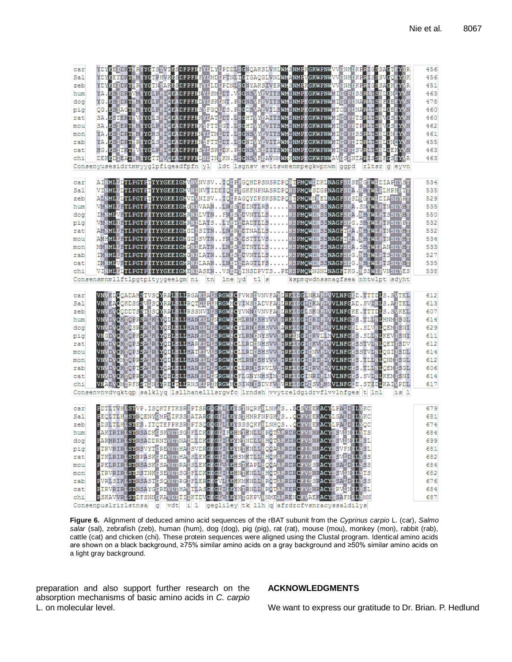| car | YDY <mark>DEIDKIMRYYGISYVIDSDFPFNFYLLYL</mark> PDDLSGNQAKSLVHL <mark>WMSNMFKGKWPNW</mark> VVGNHLKFRLGSSAGTEYLR                                                       | 456 |
|-----|----------------------------------------------------------------------------------------------------------------------------------------------------------------------|-----|
| Sal | YDYEETDKTMYYGTPHVKESDFPFNFYLMDLPTNLTGTGAQGLVNLWMANMFWGKWPNWVVGNHLKFRLSSSVGQFYLK                                                                                      | 456 |
| zeb | YDY <mark>DEIDKTMRYYGTNYAKDS</mark> DFPFNFYLLDLPDNLSGNYAKSTVERWMSNMFKGKWPNWVVGNHDKFR <mark>IGSSAGKEYVR</mark>                                                        | 451 |
| hum | YA.ESIDRTVMYYGLFFIQEADFFFNYYLSMLDT.VSGNSVYEVITSWMENMPEGKWPNWMIGGFLSSRLUSRLGNQYVN                                                                                     | 463 |
| dog | YG.ESTDRTMMYYGLFFIQEADFPFNEYLSKLNT.FSGNSVFDVITSWMENMPFGKWPNWMIGGPFNA <mark>RLTSRFGDFYVN</mark>                                                                       | 478 |
| pig | <u>QG.ESTAGTMMYYGLFFIQEADFPFNSYFGQLDS.FSGDSVADVILSWMENMPFGKWPNWMTCGPDNA<mark>RLLGBFYVN</mark></u>                                                                    | 460 |
| rat | SA. ESTERTMVYYGLSFIQEADFFFNKYLATLDT. LSGHTVYPATTSWMPNMPFGKWPNWMIGGPPTSRLTSRVGSFYWN                                                                                   | 460 |
| mou | SA. <mark>ESTERTWYYGEFFIQEADFPFNKYFTTIGT. LSGHTVYEVITSWME</mark> NMPEGKWPNWMTGGPETFRLTSRV <mark>G</mark> SEYVN                                                       | 462 |
| mon | YA.BSIDRTMMFYCMSFIQEADFPFNNYLTMLDT.LSGNSVYEVITSWMBNMPEGKWPNWMIGGPDSSR <mark>HLSRLGNEYVN</mark>                                                                       | 461 |
| rab | YA.ESIDRIMRYYGLSFIQEADFPFNNYFTILDT.LSGNIVYEVITAWMENMPEGKWPNWMTGGPLITRLISRLGNQYVN                                                                                     | 455 |
| cat | HG.ESITKTYVYYGLFFIQEADFPFNSYLSKLDK.FSGNSVSEIITSWENMPFGKWPNWYIGGPDSVRLISKLGEKYVN                                                                                      | 463 |
| chi | DEKEDIEATMYYGTTFVQEADFPFNLHLINMKN.LSGNSVFFAVNMWMXMMFEGKWPNWAVGSFNTARISSRFGSEYVR                                                                                      | 463 |
|     | Consenyusesidrtmmyyglpfiqeadfpfn yl ldt lsgnsv evitswmenmpegkwpnwm ggpd rltsr g eyvn                                                                                 |     |
|     |                                                                                                                                                                      |     |
| car | AINMLLLTLPGTFTTYYGEEIGLWNVNVSVICLFFGCHDPSNSRDPCRTPMOWLDKLNAGFSDSENGTWLDIAPDYST                                                                                       | 534 |
| Sal | VINMLLIILPGTPTTYYGEEIGMVNINVTIDEICLFFGKFNPNASRDPCRSPMQW <mark>SDGF</mark> NAGFSDA.NETWLF <mark>LHPHF</mark> TT                                                       | 535 |
| zeb | ALNMLLLTLPGTFTTYYGEEIGMVDVNISVICLPAGCYDPSKSRDPCKTPMONN\ELNAGFSESLNGTWLDIASDYRT                                                                                       | 529 |
| hum | VMNMLLFILPGIPITYYGEEIGMGNIVAANLNESMDINTLRSKSPMQWDNSSNAGFSDA.SNIWLFINSDYHT                                                                                            | 535 |
| dog | IMNMIVETLPGTPITYYGEEIGMRNILVTNFNESYDVNTLLSKSPMQWDNSSNAGFSEA.NHTWLPTSSDYFT                                                                                            | 550 |
| pig | VMNMLIFTLPGTPITYYGEEIGMRNILATSLYPIYDADTLLSKSPMQWDNSSNAGFSEG.SHIWLFTRSDYFT                                                                                            | 532 |
| rat | AMNMLLETLPGTPITYYGEEIGMGDISITNLNERYDTNALLSKSPMQWDNSSNAGFTEA.NHTWLFTNSDYHT                                                                                            | 532 |
| mou | AMHMLLTILPGIPITYYGEEIGMGLISVINFNESMDSTILVSKSPMQWDNSSNAGFTPA.NHTWLFTNSDYHT                                                                                            | 534 |
| mon | MMNMLLETLPGTPITYYGEEIGMGNIEATNLNESYDTNTLLSKSPMQWDNSSNAGFSEA.SHTWIHANSDYHT                                                                                            | 533 |
| rab | IMNMLLFTLPGTPITYYGEEIGMGNILATNLNESYDVNTLLSKSPMQWDNSSNAGFSEG.NHTWLPTSSDYFT                                                                                            | 527 |
| cat | IMMMIVETLPGTPITYYGEEIGMRNILAANLNETYDAGTLFSKSPMQWDNSSNAGFSEG.NETWLFTSSDYHT                                                                                            | 535 |
| chi | VINMLLIILPGTPITYYGEEIGAENIASENVSEEYINSDPVTSPEKSPMONNGNLNAGETKG.NSSWIPVNSDYES                                                                                         | 538 |
|     | Consensmnmllftlpgtpityygeeigm ni tn lne yd tl s<br>kspmqwdnssnagfsea nhtwlpt sdyht                                                                                   |     |
|     |                                                                                                                                                                      |     |
| car | VNVELCOADAHSTVSOYRALSLIRGAEIALSRGWFCFVWSDVNVFAYLRELDCLNKAFLVVLNFGPD.TTTDLS.SVTEL                                                                                     | 612 |
| Sal | VNVEACOKDSCSVISOYRALSLIROTOLFIFRGWYCYIWSDADVFAFIREIDCLDKAFIVVLNFCAD.SVINIS.AITEL                                                                                     | 613 |
| zeb | VNVEVGODDTSSTISGYRALSLIRSSNVILSRGWFCYVWNDVNVFAYLRELDGLSKGFLVVLNFGKE.TTTDLS.SVKEL                                                                                     | 607 |
| hum | VNVDVOKTOPRSADKUYODLSLLHANEDLINRGNFCHLRNDSHYVVYTRELDGIDRIFIVVLNFGES.TLLNDHNMISGL                                                                                     | 614 |
| dog |                                                                                                                                                                      | 629 |
| pig | VNVDVQKTQSRSALKLYQELSLLHANDLLLSRGWFQYLRNDSHSVVYARELDGTDRVFLVVLNFGPL.SLVNLQEMTSNI<br>VNGDVQKTQFKSALKLYQELSLLHANELLLSRGWFQYLRNDNYSVVYTRELNGTDRVLLMVLNFGPS.SLLNLKEVISNI | 611 |
| rat | VNVDVOKTOPSSATRIYODUSLIHARETIISRGWFCLLRDDNHSVVYTRELDGIDKVFIVVLNFGESSTVLNLOETISDV                                                                                     | 612 |
| mou | VNVDVÇXIQPSSALRIYQDLSLLHATELVLSRGWFCLLRDDSHSVVYTRELDGIDNVFLVVLNFGPSSTVLNLQGIISDL                                                                                     | 614 |
| mon | VNVDVGMTQPRSALKLYQDLSLLHANELLLSRGWFGHLRNDSHYVVYTRELDGIDRIFIVVLNFGDS.TLLNLQNMTSGL                                                                                     | 612 |
| rab | VNVDVÇKTÇPTSALKIYÇALSLIHANELLIŞRGWFCLLRNDSRVLVYTRELDGTDRVFIVVLNFGPS.TL <mark>LNIÇEMTSGL</mark>                                                                       | 606 |
| cat | VNVDVQKTQPRSALKLYQDLSLLHANELLLGRGWFCFLGNYNHSIMYTRELDGINRIFLMVLNFGFS.SVLNLKEMISNI                                                                                     | 614 |
| chi | VNAEVOMTRENSTINIYREITIIRNSEIFIHRGWMCSIWNDSDVFVYVREIDGIDSVFMMVLNFGCE.STIDIKAIVPDI                                                                                     | 617 |
|     | Consenvnvdvqktqp salklyq lsllhanelllsrgwfc lrndsh vvytreldgidrvflvvlnfges t lnl<br>is l                                                                              |     |
|     |                                                                                                                                                                      |     |
| car | EDTLTVHLSTVP.ISQKTFTKSRIPTSRGQGMLLEYSTNQRFFLNHASEOSVSEKACYLPALDILYKC                                                                                                 | 679 |
| Sal | FEQLILHMSTNQENYGMFVIKSSTATARGEGLLLEYSTHMRFNPGHASQCFVSEKACYLGALDILYKC                                                                                                 | 681 |
| zeb | FDSLTLHLSTES.ITCTEFPKSRIPTSCGQGLLLEYSSSQKFHLNHQSCCYVSEKACYLPALDILYQC                                                                                                 | 674 |
| hum | FAKIRIRISINSADKGSKVDTSGIFLDKGEGLIFBHNTKNLLFRQTAFRDRCFVSNRACYSSVLNILYTS                                                                                               | 684 |
| dog | FARMRIRISTNSADDRNTVDTNATLLDKGEGLILEYNTNDLLFHQTAFKDRCFVSNRACYSSVLNILHSL                                                                                               | 699 |
| pig | FTRVRIRLSINSVYTGREVDTHALSVDRGEGLILEYNTKNLLFCQAAFRDRCFISNRACYSSVFNILYSL                                                                                               | 681 |
| rat | FTKLRIRLSTNPASKGSDVDTHAVSLEKGEGLILEHSMKTLLHHQKAFRDKCFISNFACYSSVLDLLYSS                                                                                               | 682 |
| mou | FPELRIRLSTNSASKGSAVDTRAISLEKGEGLVLEHSTKAPLHQQAAFRDRCFVSSRACYSSALDILYSS                                                                                               | 684 |
| mon | ETRVRIRLSTSSTNKGSEVDTSGIFLDKGDGLILEHNTKNLLFHOTAFRDRCFVSNRACYSSVLNILYTS                                                                                               | 682 |
| rab | FVRLSIKLSTNSASTGSQVDTRGIFLERGEGVLLEHKMKNLLHRQTAFRDRCFISSRACYSSALDILYSS                                                                                               | 676 |
| cat | ETRVRIRLSTNSAYGGREVDTHAVTLASGEGLILEYNTRNLLFRQTAFKERCFVSNRACYSRVLNILYSL                                                                                               | 684 |
| chi | FSKAVVRLSTDFSNNGKAVDTTITKTDVGEGLVLEYKTGKPVFNMEAFRENCFVAEKACYSSAFNLLYMN                                                                                               | 687 |
|     | Consenpuslrirlstnsa g vdt i l gegliley tk llh q afrdrcfvsnracyssaldilys                                                                                              |     |
|     |                                                                                                                                                                      |     |

**Figure 6.** Alignment of deduced amino acid sequences of the rBAT subunit from the *Cyprinus carpio* L. (car), *Salmo salar* (sal), zebrafish (zeb), human (hum), dog (dog), pig (pig), rat (rat), mouse (mou), monkey (mon), rabbit (rab), cattle (cat) and chicken (chi). These protein sequences were aligned using the Clustal program. Identical amino acids are shown on a black background, ≥75% similar amino acids on a gray background and ≥50% similar amino acids on a light gray background.

preparation and also support further research on the absorption mechanisms of basic amino acids in *C. carpio* L. on molecular level.

## **ACKNOWLEDGMENTS**

We want to express our gratitude to Dr. Brian. P. Hedlund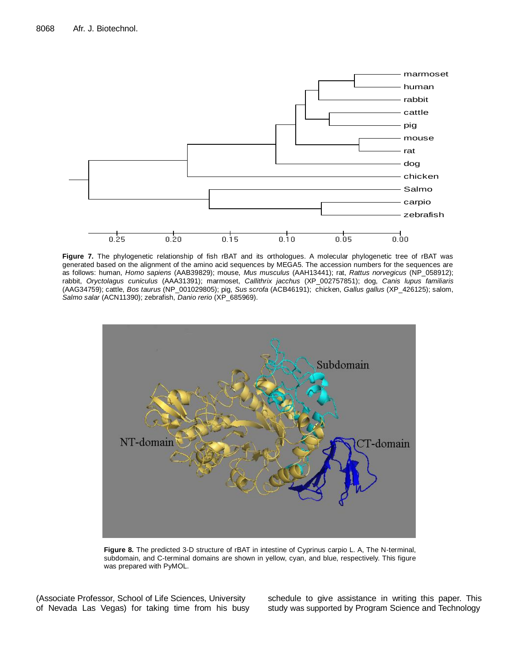

**Figure 7.** The phylogenetic relationship of fish rBAT and its orthologues. A molecular phylogenetic tree of rBAT was generated based on the alignment of the amino acid sequences by MEGA5. The accession numbers for the sequences are as follows: human, *Homo sapiens* (AAB39829); mouse, *Mus musculus* (AAH13441); rat, *Rattus norvegicus* (NP\_058912); rabbit, *Oryctolagus cuniculus* (AAA31391); marmoset, *Callithrix jacchus* (XP\_002757851); dog, *Canis lupus familiaris* (AAG34759); cattle, *Bos taurus* (NP\_001029805); pig, *Sus scrofa* (ACB46191); chicken, *Gallus gallus* (XP\_426125); salom, *Salmo salar* (ACN11390); zebrafish, *Danio rerio* (XP\_685969).



**Figure 8.** The predicted 3-D structure of rBAT in intestine of Cyprinus carpio L. A, The N-terminal, subdomain, and C-terminal domains are shown in yellow, cyan, and blue, respectively. This figure was prepared with PyMOL.

(Associate Professor, School of Life Sciences, University of Nevada Las Vegas) for taking time from his busy schedule to give assistance in writing this paper. This